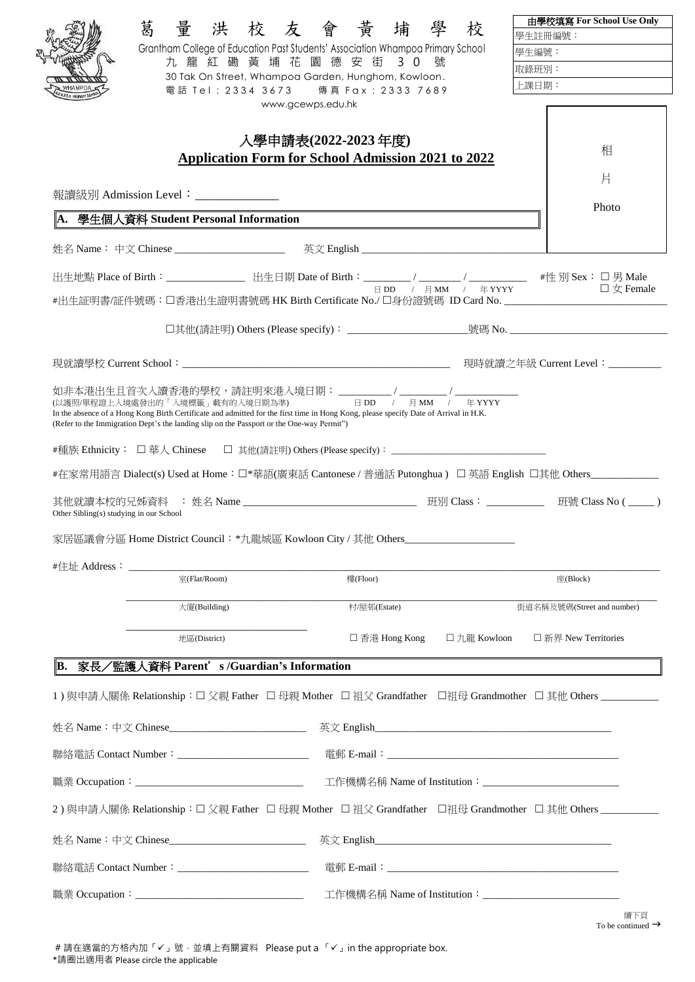| 葛                                       |                                                                                           | 量洪校友會黃埔學                                                                                                                             | 校            | 由學校填寫 For School Use Only               |
|-----------------------------------------|-------------------------------------------------------------------------------------------|--------------------------------------------------------------------------------------------------------------------------------------|--------------|-----------------------------------------|
|                                         |                                                                                           |                                                                                                                                      |              | 學生註冊編號:                                 |
|                                         |                                                                                           | Grantham College of Education Past Students' Association Whampoa Primary School<br>九龍紅磡黃埔花園德安街 30號                                   |              | 壆牛编號:                                   |
|                                         |                                                                                           | 30 Tak On Street, Whampoa Garden, Hunghom, Kowloon.                                                                                  |              | 取錄班別:                                   |
|                                         |                                                                                           | 電話 Tel: 2334 3673 傳真 Fax: 2333 7689                                                                                                  |              | 上課日期:                                   |
|                                         |                                                                                           | www.gcewps.edu.hk                                                                                                                    |              |                                         |
|                                         |                                                                                           | 入學申請表(2022-2023 年度)                                                                                                                  |              |                                         |
|                                         |                                                                                           | <b>Application Form for School Admission 2021 to 2022</b>                                                                            |              | 相                                       |
|                                         |                                                                                           |                                                                                                                                      |              | 片                                       |
|                                         | 報讀級別 Admission Level:______________                                                       |                                                                                                                                      |              |                                         |
|                                         |                                                                                           |                                                                                                                                      |              | Photo                                   |
|                                         | 學生個人資料 Student Personal Information                                                       |                                                                                                                                      |              |                                         |
|                                         |                                                                                           |                                                                                                                                      |              |                                         |
|                                         |                                                                                           |                                                                                                                                      |              |                                         |
|                                         |                                                                                           | 出生地點 Place of Birth: ________________ 出生日期 Date of Birth: _______/ ______/ ______/ #性 別 Sex: □ 男 Male                                |              | $\square \not\subset \mathbb{F}$ Female |
|                                         |                                                                                           | #出生証明書/証件號碼:口香港出生證明書號碼 HK Birth Certificate No./口身份證號碼 ID Card No. _________________________________                                 |              |                                         |
|                                         |                                                                                           |                                                                                                                                      |              |                                         |
|                                         |                                                                                           |                                                                                                                                      |              |                                         |
|                                         |                                                                                           |                                                                                                                                      |              |                                         |
|                                         |                                                                                           |                                                                                                                                      |              |                                         |
|                                         |                                                                                           |                                                                                                                                      |              |                                         |
|                                         |                                                                                           |                                                                                                                                      |              |                                         |
|                                         | (Refer to the Immigration Dept's the landing slip on the Passport or the One-way Permit") | In the absence of a Hong Kong Birth Certificate and admitted for the first time in Hong Kong, please specify Date of Arrival in H.K. |              |                                         |
|                                         |                                                                                           |                                                                                                                                      |              |                                         |
|                                         |                                                                                           |                                                                                                                                      |              |                                         |
|                                         |                                                                                           | #在家常用語言 Dialect(s) Used at Home:□*華語(廣東話 Cantonese / 普通話 Putonghua) 口 英語 English 口其他 Others_____________                             |              |                                         |
|                                         |                                                                                           |                                                                                                                                      |              |                                         |
| Other Sibling(s) studying in our School |                                                                                           | 其他就讀本校的兄姊資料 : 姓名 Name _______________________________ 班別 Class: __________ 班號 Class No (_____)                                       |              |                                         |
|                                         |                                                                                           | 家居區議會分區 Home District Council: *九龍城區 Kowloon City / 其他 Others                                                                        |              |                                         |
|                                         |                                                                                           |                                                                                                                                      |              |                                         |
| #住址 Address:                            | 室(Flat/Room)                                                                              | 樓(Floor)                                                                                                                             |              | $\mathbb{E}$ (Block)                    |
|                                         |                                                                                           |                                                                                                                                      |              |                                         |
|                                         | 大厦(Building)                                                                              | 村/屋邨(Estate)                                                                                                                         |              | 街道名稱及號碼(Street and number)              |
|                                         | 地區(District)                                                                              | □ 香港 Hong Kong                                                                                                                       | □ 九龍 Kowloon | □ 新界 New Territories                    |
|                                         |                                                                                           |                                                                                                                                      |              |                                         |
| В.                                      | 家長/監護人資料 Parent's /Guardian's Information                                                 |                                                                                                                                      |              |                                         |
|                                         |                                                                                           | 1)與申請人關係 Relationship:□ 父親 Father □ 母親 Mother □ 祖父 Grandfather □祖母 Grandmother □ 其他 Others ________                                  |              |                                         |
|                                         |                                                                                           |                                                                                                                                      |              |                                         |
|                                         |                                                                                           |                                                                                                                                      |              |                                         |
|                                         |                                                                                           |                                                                                                                                      |              |                                         |
|                                         |                                                                                           |                                                                                                                                      |              |                                         |
|                                         |                                                                                           |                                                                                                                                      |              |                                         |
|                                         |                                                                                           | 2)與申請人關係 Relationship: □ 父親 Father □ 母親 Mother □ 祖父 Grandfather □祖母 Grandmother □ 其他 Others ________                                 |              |                                         |
|                                         |                                                                                           |                                                                                                                                      |              |                                         |
|                                         |                                                                                           |                                                                                                                                      |              |                                         |
|                                         |                                                                                           |                                                                                                                                      |              |                                         |